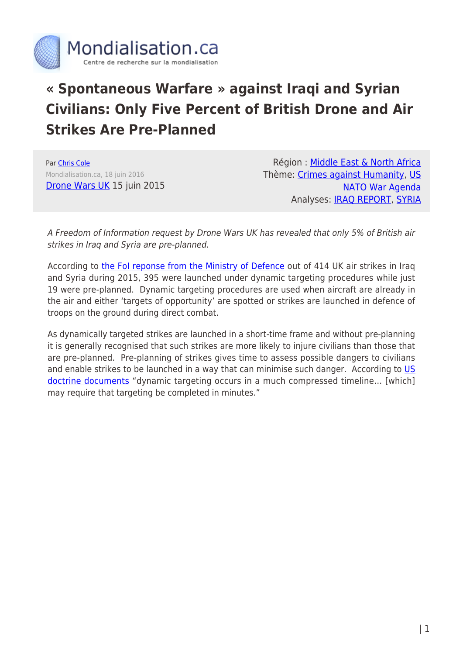

## **« Spontaneous Warfare » against Iraqi and Syrian Civilians: Only Five Percent of British Drone and Air Strikes Are Pre-Planned**

Par [Chris Cole](https://www.mondialisation.ca/author/chris-cole) Mondialisation.ca, 18 juin 2016 [Drone Wars UK](https://dronewars.net/2016/06/15/foi-reveals-only-5-of-british-airstrikes-in-iraq-and-syria-are-pre-planned/) 15 juin 2015

Région : [Middle East & North Africa](https://www.mondialisation.ca/region/middle-east) Thème: [Crimes against Humanity,](https://www.mondialisation.ca/theme/crimes-against-humanity) [US](https://www.mondialisation.ca/theme/us-nato-war-agenda) [NATO War Agenda](https://www.mondialisation.ca/theme/us-nato-war-agenda) Analyses: [IRAQ REPORT](https://www.mondialisation.ca/indepthreport/iraq-report), [SYRIA](https://www.mondialisation.ca/indepthreport/syria-nato-s-next-war)

A Freedom of Information request by Drone Wars UK has revealed that only 5% of British air strikes in Iraq and Syria are pre-planned.

According to [the FoI reponse from the Ministry of Defence](https://www.gov.uk/government/uploads/system/uploads/attachment_data/file/529297/PJHQ_FOI_2016_05126___Number_of_RAF_airstrikes_in_Iraq_conducted_by_Tornado_and_missions_flown_by_Typhoon_aircraft_in_Iraq__and_UK_airstrikes_in_Iraq_and_Syria_from_2014_to_2016.pdf) out of 414 UK air strikes in Iraq and Syria during 2015, 395 were launched under dynamic targeting procedures while just 19 were pre-planned. Dynamic targeting procedures are used when aircraft are already in the air and either 'targets of opportunity' are spotted or strikes are launched in defence of troops on the ground during direct combat.

As dynamically targeted strikes are launched in a short-time frame and without pre-planning it is generally recognised that such strikes are more likely to injure civilians than those that are pre-planned. Pre-planning of strikes gives time to assess possible dangers to civilians and enable strikes to be launched in a way that can minimise such danger. According to [US](https://doctrine.af.mil/download.jsp?filename=3-60-D16-Target-Dynamic.pdf) [doctrine documents](https://doctrine.af.mil/download.jsp?filename=3-60-D16-Target-Dynamic.pdf) "dynamic targeting occurs in a much compressed timeline… [which] may require that targeting be completed in minutes."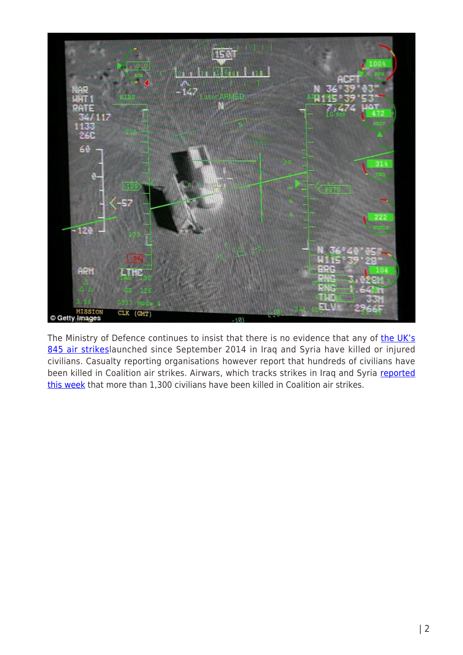

The Ministry of Defence continues to insist that there is no evidence that any of [the UK's](https://modmedia.blog.gov.uk/2016/06/09/defeating-daesh-the-defence-secretarys-view/) [845 air strikesl](https://modmedia.blog.gov.uk/2016/06/09/defeating-daesh-the-defence-secretarys-view/)aunched since September 2014 in Iraq and Syria have killed or injured civilians. Casualty reporting organisations however report that hundreds of civilians have been killed in Coalition air strikes. Airwars, which tracks strikes in Iraq and Syria [reported](https://twitter.com/airwars_/status/742697659513901056) [this week](https://twitter.com/airwars_/status/742697659513901056) that more than 1,300 civilians have been killed in Coalition air strikes.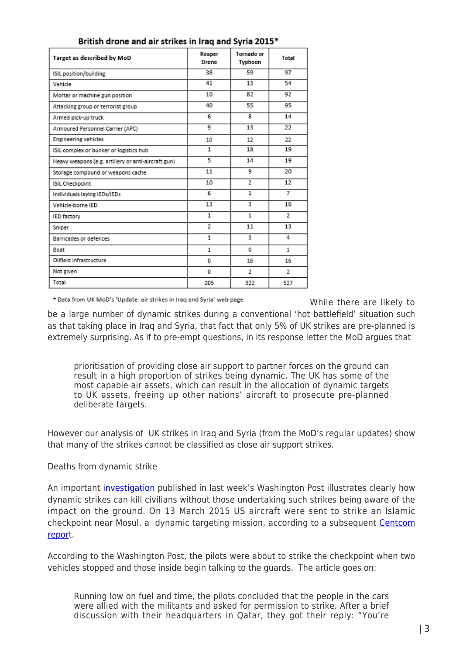| Target as described by MoD                          | Reaper<br>Drone | Tornado or<br>Typhoon | Total          |
|-----------------------------------------------------|-----------------|-----------------------|----------------|
| ISIL position/building                              | 38              | 59                    | 97             |
| Vehicle                                             | 41              | 13                    | 54             |
| Mortar or machine gun position                      | 10              | 82                    | 92             |
| Attacking group or terrorist group                  | 40              | 55                    | 95             |
| Armed pick-up truck                                 | 6               | 8                     | 14             |
| Armoured Personnel Carrier (APC)                    | q               | 13                    | 22             |
| <b>Engineering vehicles</b>                         | 10              | 12                    | 22             |
| ISIL complex or bunker or logistics hub             | 1               | 18                    | 19             |
| Heavy weapons (e.g. artillery or anti-aircraft gun) | 5               | 14                    | 19             |
| Storage compound or weapons cache                   | 11              | 9                     | 20             |
| ISIL Checkpoint                                     | 10              | $\overline{2}$        | 12             |
| Individuals laying IEDs/IEDs                        | 6               | 1                     | 7              |
| Vehicle-borne IED                                   | 13              | 3                     | 16             |
| IED factory                                         | 1               | $\mathbf{1}$          | $\overline{2}$ |
| Sniper                                              | $\overline{2}$  | 11                    | 13             |
| Barricades or defences                              | 1               | 3                     | 4              |
| Boat                                                | 1               | 0                     | 1              |
| Oilfield infrastructure                             | 0               | 16                    | 16             |
| Not given                                           | 0               | 2                     | 2              |
| Total                                               | 205             | 322                   | 527            |

## British drone and air strikes in Iraq and Syria 2015\*

\* Data from UK MoD's 'Update: air strikes in Iraq and Syria' web page

While there are likely to

be a large number of dynamic strikes during a conventional 'hot battlefield' situation such as that taking place in Iraq and Syria, that fact that only 5% of UK strikes are pre-planned is extremely surprising. As if to pre-empt questions, in its response letter the MoD argues that

prioritisation of providing close air support to partner forces on the ground can result in a high proportion of strikes being dynamic. The UK has some of the most capable air assets, which can result in the allocation of dynamic targets to UK assets, freeing up other nations' aircraft to prosecute pre-planned deliberate targets.

However our analysis of UK strikes in Iraq and Syria (from the MoD's regular updates) show that many of the strikes cannot be classified as close air support strikes.

## Deaths from dynamic strike

An important *investigation* published in last week's Washington Post illustrates clearly how dynamic strikes can kill civilians without those undertaking such strikes being aware of the impact on the ground. On 13 March 2015 US aircraft were sent to strike an Islamic checkpoint near Mosul, a dynamic targeting mission, according to a subsequent [Centcom](https://assets.documentcloud.org/documents/2653361/CIVCAS-Airstrike-Investigation-in-Al-Hatra-Iraq.txt) [repor](https://assets.documentcloud.org/documents/2653361/CIVCAS-Airstrike-Investigation-in-Al-Hatra-Iraq.txt)t.

According to the Washington Post, the pilots were about to strike the checkpoint when two vehicles stopped and those inside begin talking to the guards. The article goes on:

Running low on fuel and time, the pilots concluded that the people in the cars were allied with the militants and asked for permission to strike. After a brief discussion with their headquarters in Qatar, they got their reply: "You're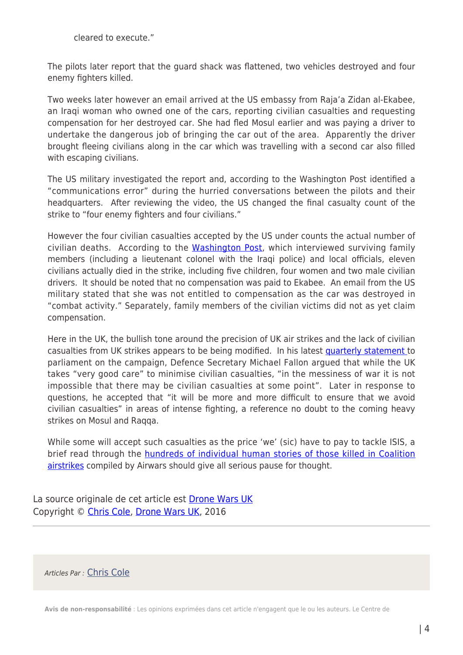cleared to execute."

The pilots later report that the guard shack was flattened, two vehicles destroyed and four enemy fighters killed.

Two weeks later however an email arrived at the US embassy from Raja'a Zidan al-Ekabee, an Iraqi woman who owned one of the cars, reporting civilian casualties and requesting compensation for her destroyed car. She had fled Mosul earlier and was paying a driver to undertake the dangerous job of bringing the car out of the area. Apparently the driver brought fleeing civilians along in the car which was travelling with a second car also filled with escaping civilians.

The US military investigated the report and, according to the Washington Post identified a "communications error" during the hurried conversations between the pilots and their headquarters. After reviewing the video, the US changed the final casualty count of the strike to "four enemy fighters and four civilians."

However the four civilian casualties accepted by the US under counts the actual number of civilian deaths. According to the [Washington Post](https://www.washingtonpost.com/politics/a-desperate-womans-email-from-iraq-reveals-the-high-toll-of-obamas-low-cost-wars/2016/06/09/3e572976-2725-11e6-b989-4e5479715b54_story.html?tid=sm_tw), which interviewed surviving family members (including a lieutenant colonel with the Iraqi police) and local officials, eleven civilians actually died in the strike, including five children, four women and two male civilian drivers. It should be noted that no compensation was paid to Ekabee. An email from the US military stated that she was not entitled to compensation as the car was destroyed in "combat activity." Separately, family members of the civilian victims did not as yet claim compensation.

Here in the UK, the bullish tone around the precision of UK air strikes and the lack of civilian casualties from UK strikes appears to be being modified. In his latest [quarterly statement t](https://hansard.parliament.uk/Commons/2016-05-24/debates/16052425000001/Counter-DaeshQuarterlyUpdate)o parliament on the campaign, Defence Secretary Michael Fallon argued that while the UK takes "very good care" to minimise civilian casualties, "in the messiness of war it is not impossible that there may be civilian casualties at some point". Later in response to questions, he accepted that "it will be more and more difficult to ensure that we avoid civilian casualties" in areas of intense fighting, a reference no doubt to the coming heavy strikes on Mosul and Raqqa.

While some will accept such casualties as the price 'we' (sic) have to pay to tackle ISIS, a brief read through the [hundreds of individual human stories of those killed in Coalition](https://airwars.org/civcas-2016/) [airstrikes](https://airwars.org/civcas-2016/) compiled by Airwars should give all serious pause for thought.

La source originale de cet article est [Drone Wars UK](https://dronewars.net/2016/06/15/foi-reveals-only-5-of-british-airstrikes-in-iraq-and-syria-are-pre-planned/) Copyright © [Chris Cole,](https://www.mondialisation.ca/author/chris-cole) [Drone Wars UK,](https://dronewars.net/2016/06/15/foi-reveals-only-5-of-british-airstrikes-in-iraq-and-syria-are-pre-planned/) 2016

Articles Par : [Chris Cole](https://www.mondialisation.ca/author/chris-cole)

**Avis de non-responsabilité** : Les opinions exprimées dans cet article n'engagent que le ou les auteurs. Le Centre de